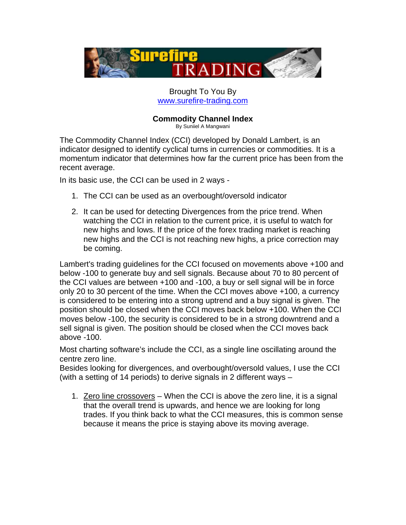

## Brought To You By [www.surefire-trading.com](http://www.surefire-forex-trading.com/p.php/flsft)

# **Commodity Channel Index**

By Suniiel A Mangwani

The Commodity Channel Index (CCI) developed by Donald Lambert, is an indicator designed to identify cyclical turns in currencies or commodities. It is a momentum indicator that determines how far the current price has been from the recent average.

In its basic use, the CCI can be used in 2 ways -

- 1. The CCI can be used as an overbought/oversold indicator
- 2. It can be used for detecting Divergences from the price trend. When watching the CCI in relation to the current price, it is useful to watch for new highs and lows. If the price of the forex trading market is reaching new highs and the CCI is not reaching new highs, a price correction may be coming.

Lambert's trading guidelines for the CCI focused on movements above +100 and below -100 to generate buy and sell signals. Because about 70 to 80 percent of the CCI values are between +100 and -100, a buy or sell signal will be in force only 20 to 30 percent of the time. When the CCI moves above +100, a currency is considered to be entering into a strong uptrend and a buy signal is given. The position should be closed when the CCI moves back below +100. When the CCI moves below -100, the security is considered to be in a strong downtrend and a sell signal is given. The position should be closed when the CCI moves back above -100.

Most charting software's include the CCI, as a single line oscillating around the centre zero line.

Besides looking for divergences, and overbought/oversold values, I use the CCI (with a setting of 14 periods) to derive signals in 2 different ways –

1. Zero line crossovers – When the CCI is above the zero line, it is a signal that the overall trend is upwards, and hence we are looking for long trades. If you think back to what the CCI measures, this is common sense because it means the price is staying above its moving average.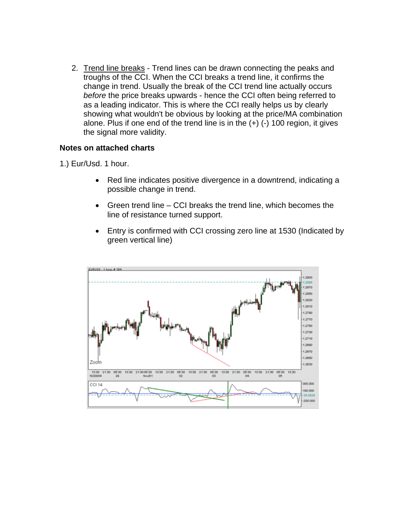2. Trend line breaks - Trend lines can be drawn connecting the peaks and troughs of the CCI. When the CCI breaks a trend line, it confirms the change in trend. Usually the break of the CCI trend line actually occurs *before* the price breaks upwards - hence the CCI often being referred to as a leading indicator. This is where the CCI really helps us by clearly showing what wouldn't be obvious by looking at the price/MA combination alone. Plus if one end of the trend line is in the (+) (-) 100 region, it gives the signal more validity.

## **Notes on attached charts**

1.) Eur/Usd. 1 hour.

- Red line indicates positive divergence in a downtrend, indicating a possible change in trend.
- Green trend line CCI breaks the trend line, which becomes the line of resistance turned support.
- Entry is confirmed with CCI crossing zero line at 1530 (Indicated by green vertical line)

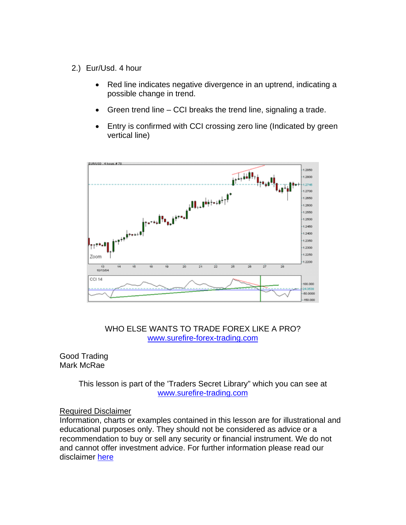- 2.) Eur/Usd. 4 hour
	- Red line indicates negative divergence in an uptrend, indicating a possible change in trend.
	- Green trend line CCI breaks the trend line, signaling a trade.
	- Entry is confirmed with CCI crossing zero line (Indicated by green vertical line)



### WHO ELSE WANTS TO TRADE FOREX LIKE A PRO? [www.surefire-forex-trading.com](http://www.surefire-forex-trading.com/p.php/fl)

Good Trading Mark McRae

> This lesson is part of the 'Traders Secret Library" which you can see at [www.surefire-trading.com](http://www.surefire-forex-trading.com/p.php/flsft)

#### Required Disclaimer

Information, charts or examples contained in this lesson are for illustrational and educational purposes only. They should not be considered as advice or a recommendation to buy or sell any security or financial instrument. We do not and cannot offer investment advice. For further information please read our disclaimer [here](http://www.surefire-trading.com/disclaimer.html)